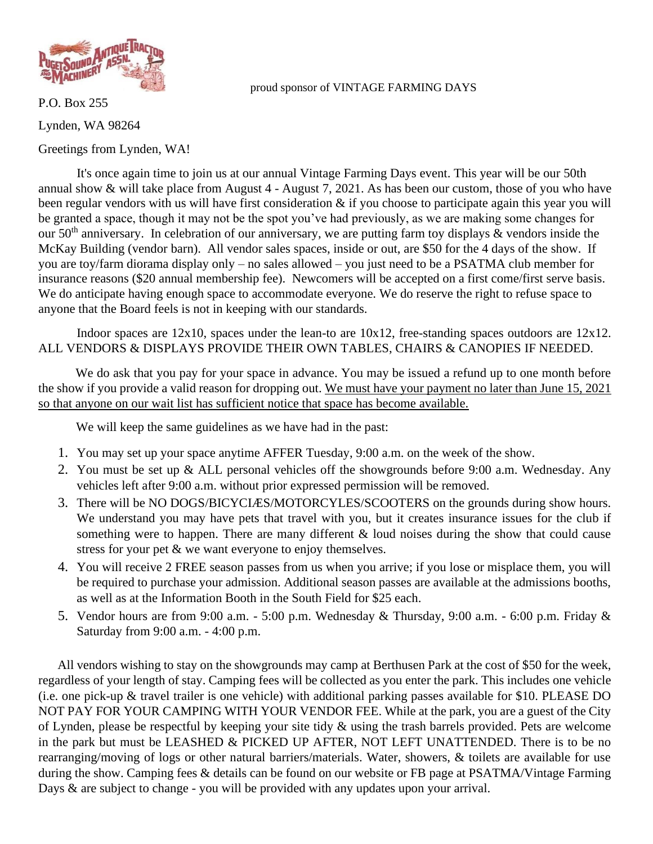

## proud sponsor of VINTAGE FARMING DAYS

P.O. Box 255 Lynden, WA 98264 Greetings from Lynden, WA!

It's once again time to join us at our annual Vintage Farming Days event. This year will be our 50th annual show & will take place from August 4 - August 7, 2021. As has been our custom, those of you who have been regular vendors with us will have first consideration & if you choose to participate again this year you will be granted a space, though it may not be the spot you've had previously, as we are making some changes for our  $50<sup>th</sup>$  anniversary. In celebration of our anniversary, we are putting farm toy displays & vendors inside the McKay Building (vendor barn). All vendor sales spaces, inside or out, are \$50 for the 4 days of the show. If you are toy/farm diorama display only – no sales allowed – you just need to be a PSATMA club member for insurance reasons (\$20 annual membership fee). Newcomers will be accepted on a first come/first serve basis. We do anticipate having enough space to accommodate everyone. We do reserve the right to refuse space to anyone that the Board feels is not in keeping with our standards.

Indoor spaces are 12x10, spaces under the lean-to are 10x12, free-standing spaces outdoors are 12x12. ALL VENDORS & DISPLAYS PROVIDE THEIR OWN TABLES, CHAIRS & CANOPIES IF NEEDED.

We do ask that you pay for your space in advance. You may be issued a refund up to one month before the show if you provide a valid reason for dropping out. We must have your payment no later than June 15, 2021 so that anyone on our wait list has sufficient notice that space has become available.

We will keep the same guidelines as we have had in the past:

- 1. You may set up your space anytime AFFER Tuesday, 9:00 a.m. on the week of the show.
- 2. You must be set up & ALL personal vehicles off the showgrounds before 9:00 a.m. Wednesday. Any vehicles left after 9:00 a.m. without prior expressed permission will be removed.
- 3. There will be NO DOGS/BICYCIÆS/MOTORCYLES/SCOOTERS on the grounds during show hours. We understand you may have pets that travel with you, but it creates insurance issues for the club if something were to happen. There are many different & loud noises during the show that could cause stress for your pet  $\&$  we want everyone to enjoy themselves.
- 4. You will receive 2 FREE season passes from us when you arrive; if you lose or misplace them, you will be required to purchase your admission. Additional season passes are available at the admissions booths, as well as at the Information Booth in the South Field for \$25 each.
- 5. Vendor hours are from 9:00 a.m. 5:00 p.m. Wednesday & Thursday, 9:00 a.m. 6:00 p.m. Friday & Saturday from 9:00 a.m. - 4:00 p.m.

All vendors wishing to stay on the showgrounds may camp at Berthusen Park at the cost of \$50 for the week, regardless of your length of stay. Camping fees will be collected as you enter the park. This includes one vehicle (i.e. one pick-up & travel trailer is one vehicle) with additional parking passes available for \$10. PLEASE DO NOT PAY FOR YOUR CAMPING WITH YOUR VENDOR FEE. While at the park, you are a guest of the City of Lynden, please be respectful by keeping your site tidy & using the trash barrels provided. Pets are welcome in the park but must be LEASHED & PICKED UP AFTER, NOT LEFT UNATTENDED. There is to be no rearranging/moving of logs or other natural barriers/materials. Water, showers, & toilets are available for use during the show. Camping fees & details can be found on our website or FB page at PSATMA/Vintage Farming Days & are subject to change - you will be provided with any updates upon your arrival.